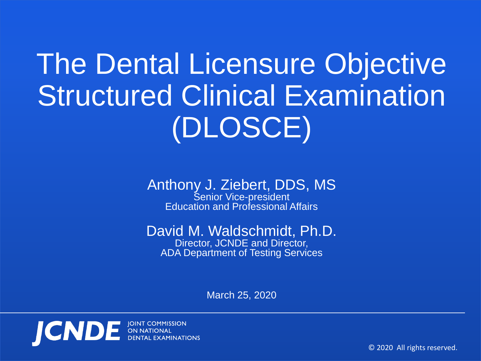# The Dental Licensure Objective Structured Clinical Examination (DLOSCE)

### Anthony J. Ziebert, DDS, MS

Senior Vice-president Education and Professional Affairs

#### David M. Waldschmidt, Ph.D.

Director, JCNDE and Director, ADA Department of Testing Services

March 25, 2020



© 2020 All rights reserved.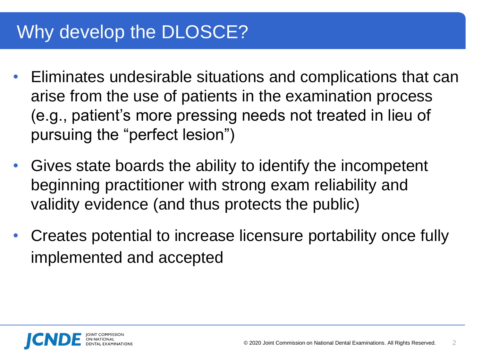### Why develop the DLOSCE?

- Eliminates undesirable situations and complications that can arise from the use of patients in the examination process (e.g., patient's more pressing needs not treated in lieu of pursuing the "perfect lesion")
- Gives state boards the ability to identify the incompetent beginning practitioner with strong exam reliability and validity evidence (and thus protects the public)
- Creates potential to increase licensure portability once fully implemented and accepted

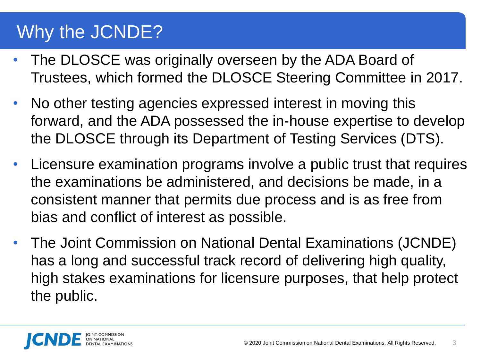# Why the JCNDE?

- The DLOSCE was originally overseen by the ADA Board of Trustees, which formed the DLOSCE Steering Committee in 2017.
- No other testing agencies expressed interest in moving this forward, and the ADA possessed the in-house expertise to develop the DLOSCE through its Department of Testing Services (DTS).
- Licensure examination programs involve a public trust that requires the examinations be administered, and decisions be made, in a consistent manner that permits due process and is as free from bias and conflict of interest as possible.
- The Joint Commission on National Dental Examinations (JCNDE) has a long and successful track record of delivering high quality, high stakes examinations for licensure purposes, that help protect the public.

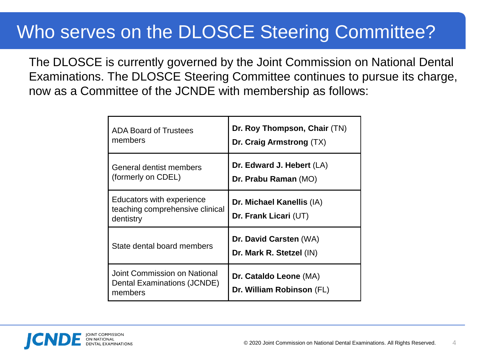### Who serves on the DLOSCE Steering Committee?

The DLOSCE is currently governed by the Joint Commission on National Dental Examinations. The DLOSCE Steering Committee continues to pursue its charge, now as a Committee of the JCNDE with membership as follows:

| <b>ADA Board of Trustees</b><br>members                                   | Dr. Roy Thompson, Chair (TN)<br>Dr. Craig Armstrong (TX) |
|---------------------------------------------------------------------------|----------------------------------------------------------|
| General dentist members<br>(formerly on CDEL)                             | Dr. Edward J. Hebert (LA)<br>Dr. Prabu Raman (MO)        |
| Educators with experience<br>teaching comprehensive clinical<br>dentistry | Dr. Michael Kanellis (IA)<br>Dr. Frank Licari (UT)       |
| State dental board members                                                | Dr. David Carsten (WA)<br>Dr. Mark R. Stetzel (IN)       |
| Joint Commission on National<br>Dental Examinations (JCNDE)<br>members    | Dr. Cataldo Leone (MA)<br>Dr. William Robinson (FL)      |

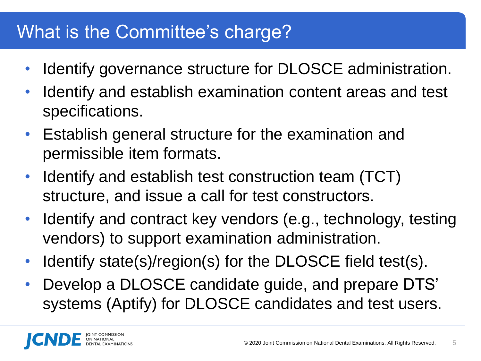### What is the Committee's charge?

- Identify governance structure for DLOSCE administration.
- Identify and establish examination content areas and test specifications.
- Establish general structure for the examination and permissible item formats.
- Identify and establish test construction team (TCT) structure, and issue a call for test constructors.
- Identify and contract key vendors (e.g., technology, testing vendors) to support examination administration.
- Identify state(s)/region(s) for the DLOSCE field test(s).
- Develop a DLOSCE candidate guide, and prepare DTS' systems (Aptify) for DLOSCE candidates and test users.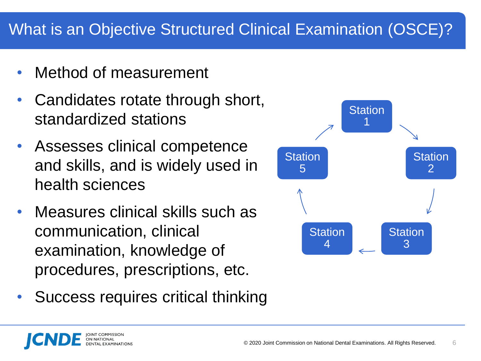### What is an Objective Structured Clinical Examination (OSCE)?

- Method of measurement
- Candidates rotate through short, standardized stations
- Assesses clinical competence and skills, and is widely used in health sciences
- Measures clinical skills such as communication, clinical examination, knowledge of procedures, prescriptions, etc.
- Success requires critical thinking

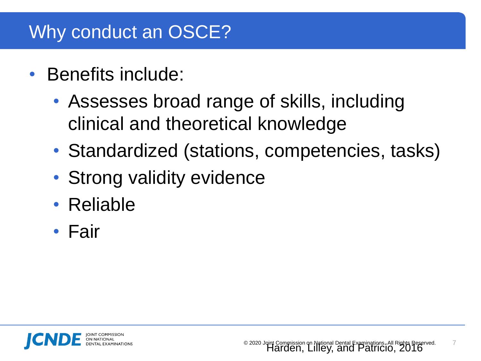# Why conduct an OSCE?

- Benefits include:
	- Assesses broad range of skills, including clinical and theoretical knowledge
	- Standardized (stations, competencies, tasks)
	- Strong validity evidence
	- Reliable
	- Fair

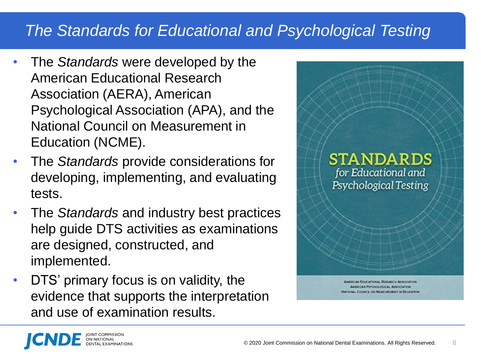### *The Standards for Educational and Psychological Testing*

- The *Standards* were developed by the American Educational Research Association (AERA), American Psychological Association (APA), and the National Council on Measurement in Education (NCME).
- The *Standards* provide considerations for developing, implementing, and evaluating tests.
- The *Standards* and industry best practices help guide DTS activities as examinations are designed, constructed, and implemented.
- DTS' primary focus is on validity, the evidence that supports the interpretation and use of examination results.

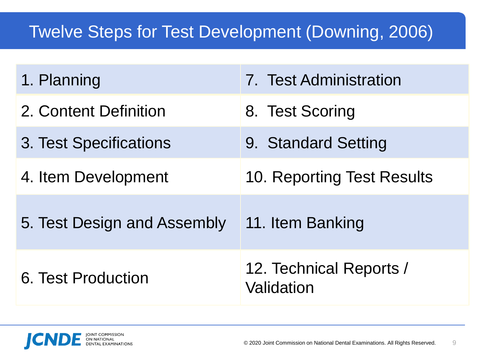### Twelve Steps for Test Development (Downing, 2006)

| 1. Planning                 | 7. Test Administration                |
|-----------------------------|---------------------------------------|
| 2. Content Definition       | 8. Test Scoring                       |
| 3. Test Specifications      | 9. Standard Setting                   |
| 4. Item Development         | 10. Reporting Test Results            |
| 5. Test Design and Assembly | 11. Item Banking                      |
| 6. Test Production          | 12. Technical Reports /<br>Validation |

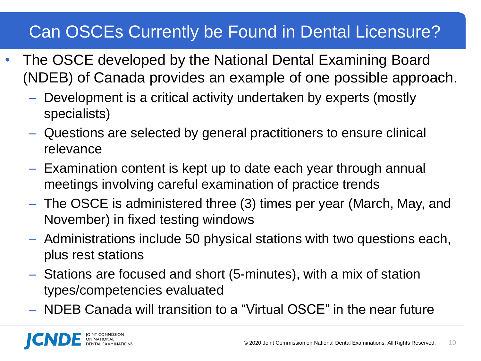### Can OSCEs Currently be Found in Dental Licensure?

- The OSCE developed by the National Dental Examining Board (NDEB) of Canada provides an example of one possible approach.
	- Development is a critical activity undertaken by experts (mostly specialists)
	- Questions are selected by general practitioners to ensure clinical relevance
	- Examination content is kept up to date each year through annual meetings involving careful examination of practice trends
	- The OSCE is administered three (3) times per year (March, May, and November) in fixed testing windows
	- Administrations include 50 physical stations with two questions each, plus rest stations
	- Stations are focused and short (5-minutes), with a mix of station types/competencies evaluated
	- NDEB Canada will transition to a "Virtual OSCE" in the near future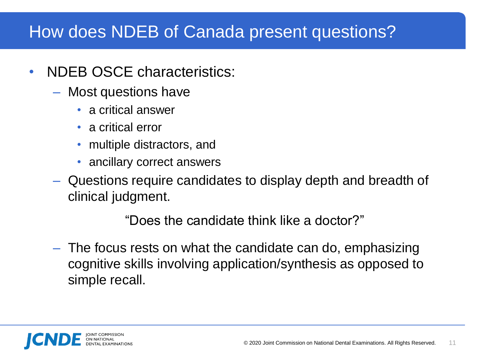### How does NDEB of Canada present questions?

### • NDEB OSCE characteristics:

- Most questions have
	- a critical answer
	- a critical error
	- multiple distractors, and
	- ancillary correct answers
- Questions require candidates to display depth and breadth of clinical judgment.

"Does the candidate think like a doctor?"

– The focus rests on what the candidate can do, emphasizing cognitive skills involving application/synthesis as opposed to simple recall.

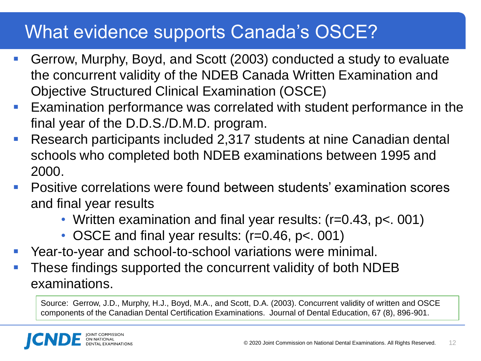# What evidence supports Canada's OSCE?

- Gerrow, Murphy, Boyd, and Scott (2003) conducted a study to evaluate the concurrent validity of the NDEB Canada Written Examination and Objective Structured Clinical Examination (OSCE)
- Examination performance was correlated with student performance in the final year of the D.D.S./D.M.D. program.
- Research participants included 2,317 students at nine Canadian dental schools who completed both NDEB examinations between 1995 and 2000.
- Positive correlations were found between students' examination scores and final year results
	- Written examination and final year results: (r=0.43, p<. 001)
	- OSCE and final year results: (r=0.46, p<. 001)
- Year-to-year and school-to-school variations were minimal.
- These findings supported the concurrent validity of both NDEB examinations.

Source: Gerrow, J.D., Murphy, H.J., Boyd, M.A., and Scott, D.A. (2003). Concurrent validity of written and OSCE components of the Canadian Dental Certification Examinations. Journal of Dental Education, 67 (8), 896-901.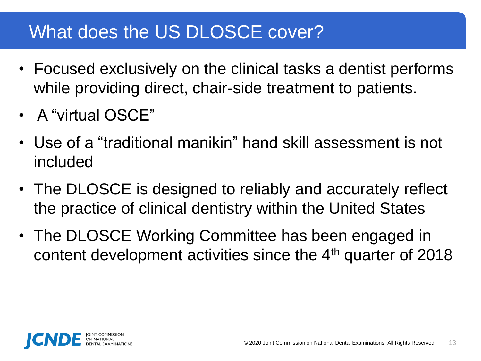### What does the US DLOSCE cover?

- Focused exclusively on the clinical tasks a dentist performs while providing direct, chair-side treatment to patients.
- A "virtual OSCE"
- Use of a "traditional manikin" hand skill assessment is not included
- The DLOSCE is designed to reliably and accurately reflect the practice of clinical dentistry within the United States
- The DLOSCE Working Committee has been engaged in content development activities since the 4<sup>th</sup> quarter of 2018

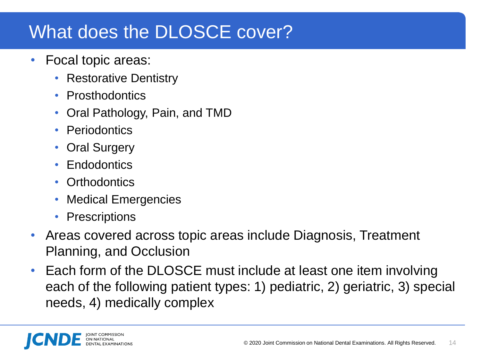### What does the DLOSCE cover?

- Focal topic areas:
	- Restorative Dentistry
	- Prosthodontics
	- Oral Pathology, Pain, and TMD
	- Periodontics
	- Oral Surgery
	- Endodontics
	- Orthodontics
	- Medical Emergencies
	- Prescriptions
- Areas covered across topic areas include Diagnosis, Treatment Planning, and Occlusion
- Each form of the DLOSCE must include at least one item involving each of the following patient types: 1) pediatric, 2) geriatric, 3) special needs, 4) medically complex

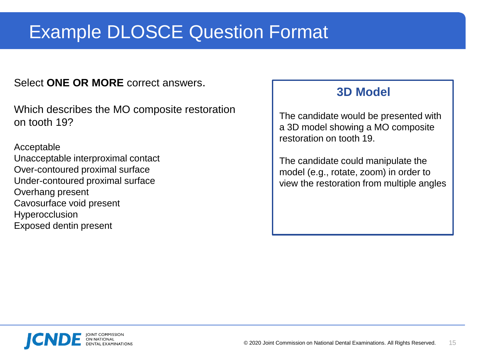# Example DLOSCE Question Format

#### Select **ONE OR MORE** correct answers.

Which describes the MO composite restoration on tooth 19?

Acceptable Unacceptable interproximal contact Over-contoured proximal surface Under-contoured proximal surface Overhang present Cavosurface void present Hyperocclusion Exposed dentin present

#### **3D Model**

The candidate would be presented with a 3D model showing a MO composite restoration on tooth 19.

The candidate could manipulate the model (e.g., rotate, zoom) in order to view the restoration from multiple angles

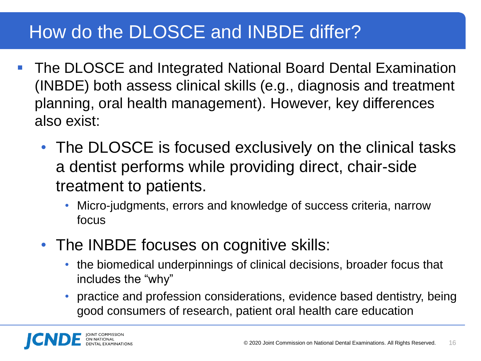### How do the DLOSCE and INBDE differ?

- The DLOSCE and Integrated National Board Dental Examination (INBDE) both assess clinical skills (e.g., diagnosis and treatment planning, oral health management). However, key differences also exist:
	- The DLOSCE is focused exclusively on the clinical tasks a dentist performs while providing direct, chair-side treatment to patients.
		- Micro-judgments, errors and knowledge of success criteria, narrow focus
	- The INBDE focuses on cognitive skills:
		- the biomedical underpinnings of clinical decisions, broader focus that includes the "why"
		- practice and profession considerations, evidence based dentistry, being good consumers of research, patient oral health care education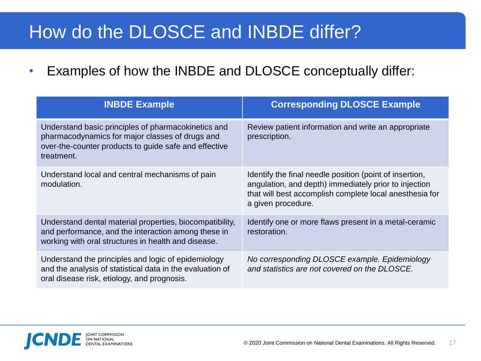### How do the DLOSCE and INBDE differ?

• Examples of how the INBDE and DLOSCE conceptually differ:

| <b>INBDE Example</b>                                                                                                                                                          | <b>Corresponding DLOSCE Example</b>                                                                                                                                                               |
|-------------------------------------------------------------------------------------------------------------------------------------------------------------------------------|---------------------------------------------------------------------------------------------------------------------------------------------------------------------------------------------------|
| Understand basic principles of pharmacokinetics and<br>pharmacodynamics for major classes of drugs and<br>over-the-counter products to guide safe and effective<br>treatment. | Review patient information and write an appropriate<br>prescription.                                                                                                                              |
| Understand local and central mechanisms of pain<br>modulation.                                                                                                                | Identify the final needle position (point of insertion,<br>angulation, and depth) immediately prior to injection<br>that will best accomplish complete local anesthesia for<br>a given procedure. |
| Understand dental material properties, biocompatibility,<br>and performance, and the interaction among these in<br>working with oral structures in health and disease.        | Identify one or more flaws present in a metal-ceramic<br>restoration.                                                                                                                             |
| Understand the principles and logic of epidemiology<br>and the analysis of statistical data in the evaluation of<br>oral disease risk, etiology, and prognosis.               | No corresponding DLOSCE example. Epidemiology<br>and statistics are not covered on the DLOSCE.                                                                                                    |

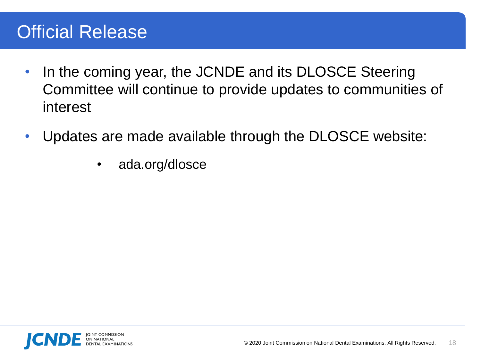### Official Release

- In the coming year, the JCNDE and its DLOSCE Steering Committee will continue to provide updates to communities of interest
- Updates are made available through the DLOSCE website:
	- ada.org/dlosce